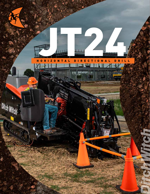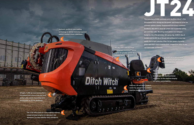**40-gpm, 1,200-psi mud pump offers increased fluid course from the mud pump to the swivel, funneling extra horsepower to the bit downhole.**

**Hydraulic platform uses leading technology to deliver more horsepower where it matters most–downhole.**

**The JT24 offers best-in-class stability without compromising footprint so operators can maneuver in urban jobsites with confidence.**

**101-hp, Tier 4 and EU Stage V-compliant Cummins® diesel engine for greater power in a compact unit.**

> **Two, seven-inch LED screens provide better insight into all machine functions.**

**Fold-out, lift-off doors make it easier for operators to conduct machine maintenance.**

**The JT24 is equipped with radial operator control (ROC) to highlight the multifunctional controller on the machine display for better controllability.**

3

4

5

2

1

6

7

# **Ditch Witch**

JT24

**The evolution of HDD continues with the Ditch Witch® JT24 Directional Drill. Giving you the power and footprint to be the ultimate uptime champ. Engineered from direct customer feedback, this drill is ideal for urban and residential utility, gas and fiber jobs. Boasting more power in a compact footprint, the JT24 provides 101-gross-hp, 3,000 ft-lbs of torque and 24,000 lbs of thrust and pullback at a size that easily fits in tight jobsites. Plus, its low center of gravity gives operators more stability than competitive units so you can work with confidence.**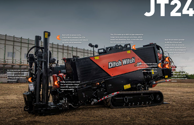**Add-a-pipe design allows Dirch Witch extra sticks of drill pipe for greater productivity.**

**Built with no grease zerks, a Ditch Witch standard, the JT24 simplifies maintenance and reduces the total cost of ownership.**

**The JT24 holds up to 400 ft of pipe onboard for longer bores and reduced cycle times, which means less downtime. Plus, a reversible pipe box increases jobsite versatility.**

**Dual-thrust motors provide 24,000 lbs of thrust and pullback while an exclusive single-motor system delivers up to 3,000 ft-lbs of torque for outstanding performance in tight, urban jobsites.** 

**An integrated pipe lubricator makes it easier for operators to change out lubrication buckets for more effective maintenance.**

**Patent-pending open-sided vise wrenches are rotated toward the operator for enhanced visibility. control.** The control of the control. The control. The control.

**A real-time carriageposition indicator provides operators insight into the exact carriage position for more productivity and** 

6

1

2

3

JT24

5 L 4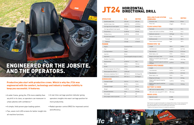| <b>OPERATION</b>               | U.S.                             | <b>METRIC</b>      |
|--------------------------------|----------------------------------|--------------------|
| Spindle speed, max             | $225$ rpm                        | $225$ rpm          |
| Spindle torque, max            | 3,000 ft-lb                      | 4,076 N·m          |
| Carriage thrust travel speed   | 210 fpm                          | $64 \text{ m/min}$ |
| Carriage pullback travel speed | 216 fpm                          | $66 \text{ m/min}$ |
| Thrust force                   | 24,000 lb                        | 107 kN             |
| Pullback force                 | 24,000 lb                        | 107 kN             |
| Ground travel speed            |                                  |                    |
| Forward                        | $2.8$ mph                        | $4.5$ km/h         |
| Reverse                        | $2.8$ mph                        | $4.5$ km/h         |
| <b>OWER</b>                    |                                  |                    |
| Engine                         | Cummins®F3.8                     |                    |
| Fuel                           | Diesel                           |                    |
| Cooling medium                 | Liquid                           |                    |
| Injection                      | Direct                           |                    |
| Aspiration                     | Turbocharged & charge air cooled |                    |
| Number of cylinders            | 4                                |                    |
| Displacement                   | 231.89 in <sup>3</sup>           | 3.8 <sub>L</sub>   |
| Bore                           | 4.02 in                          | 102 mm             |
| Stroke                         | $4.53$ in                        | 115 mm             |
| Gross horsepower Tier 3/Tier 4 | 101 hp                           |                    |
| Rated speed Tier 3/Tier 4      | 2,200 rpm                        |                    |
| Emissons compliance Tier 3     | EPA Tier 3                       | EU Stage IIIA      |
| Emissions compliance Tier 4    | EPA Tier 4                       | EU Stage V         |
| <b>IMENSIONS</b>               |                                  |                    |
| Transport length               | 224.5 in                         | 5.7 <sub>m</sub>   |
| Width                          | 65.25 in                         | 1.66 m             |
| Transport height               | 83 in                            | 2.11 m             |
| Weight                         | 14,850 lb                        | 6736 kg            |
| Ground clearance               | $5.8$ in                         | 147 mm             |
| Entry angle                    | 18°                              | 18°                |
| Entry angle, tracks on ground  | $12^{\circ}$                     | $12^{\circ}$       |



### ENGINEERED FOR THE JOBSITE. AND THE OPERATORS.

| <b>DRILLING FLUID SYSTEM</b><br>(ONBOARD)                | U.S.      | <b>METRIC</b>     |
|----------------------------------------------------------|-----------|-------------------|
| Pressure, max                                            | 1,200 psi | 83 bar            |
| Flow, max                                                | 40 gpm    | 189 L/min         |
| <b>FLUID CAPACITIES</b>                                  |           |                   |
| Fuel tank                                                | 32 gal    | 121 L             |
| Engine lubrication oil w/filter                          | 15.4 gt   | 14.6L             |
| Hydraulic reservoir                                      | 18.75 gal | 71L               |
| Engine cooling system                                    | $20$ qt   | 18.9L             |
| Antifreeze tank                                          | 5 gal     | 18.9 L            |
| Diesel exhaust fluid tank                                | 5 gal     | 18.9 L            |
| <b>POWER PIPE® HD</b>                                    |           |                   |
| Length                                                   | 120 in    | 3.05 <sub>m</sub> |
| Joint diameter                                           | 2.625 in  | 66.7 mm           |
| Pipe diameter                                            | $2.25$ in | 57.15 mm          |
| Bend radius, min                                         | 117 ft    | 35.66 m           |
| Weight of drill pipe, lined                              | 72.5 lb   | 32.89 kg          |
| Weight of lined drill pipe & large box<br>$(40$ pipe $)$ | 3,555 lb  | 1612.5 kg         |
| Weight of lined drill pipe & small box<br>$(28$ pipe)    | 2,675 lb  | 1213 kg           |
| <b>OWER PIPE FORGED</b>                                  |           |                   |
| Length                                                   | 120 in    | 3.05 <sub>m</sub> |
| Joint diameter                                           | $2.63$ in | 66.7 mm           |
| Pipe diameter                                            | 2.375 in  | $63.5$ mm         |
| Bend radius, min                                         | 123 ft    | 35 m              |
| Weight per drill pipe                                    | 74 lb     | 33.5 kg           |
| Weight w/drill pipe & large box<br>$(40$ pipe $)$        | 3,635 lb  | 1649 kg           |
| Weight w/drill pipe & small box<br>$(28$ pipe $)$        | 2,720 lb  | 1234 kg           |
| BATTERY (2 USED)                                         |           |                   |
| SAE reserve capacity rating                              | $110$ min |                   |
| SAE cold crank rating @ 0°F (-18°C)                      | 800 amps  |                   |
| <b>NOISE LEVEL</b>                                       |           |                   |
| Operator sound                                           | 83 dBA    |                   |
| Exterior sound power                                     | 101 dBA   |                   |

Productive jobs start with productive crews. Which is why the JT24 was engineered with the comfort, technology and industry-leading visibility to keep you successful. It features:

 $\mathbb{R}$  ,  $\mathbb{R}$  ,  $\mathbb{R}$  ,  $\mathbb{R}$  ,  $\mathbb{R}$  ,  $\mathbb{R}$ 

- A wider frame, giving the JT24 more stability than any drill in its class, so operators can maneuver in urban jobsites with confidence.\*
- A simple, field-proven pipe-loading system.
- Two, seven-inch LED screens for better insight into all machine functions.
- A real-time carriage-position indicator giving operators insights into exact carriage position for more productivity.
- Radial operator control (ROC) for improved control and efficiency.

Specifications are general and subject to change without notice. If exact measurements are required, equipment should be weighed and measured. Due to selected options, delivered equipment may not necessarily match that shown.

\*Stability claim based on lab test of competitive equipment.

## JT24 HORIZONTAL DIRECTIONAL DRILL